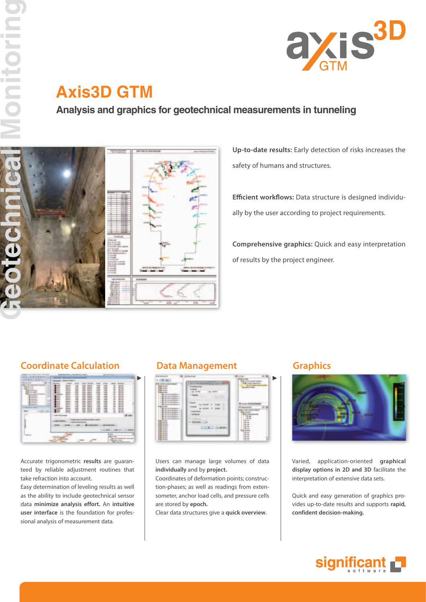



# **Axis3D GTM**

**Analysis and graphics for geotechnical measurements in tunneling**



**Up-to-date results:** Early detection of risks increases the safety of humans and structures.

**Efficient workflows:** Data structure is designed individually by the user according to project requirements.

**Comprehensive graphics:** Quick and easy interpretation of results by the project engineer.

## **Coordinate Calculation Data Management Graphics**



Accurate trigonometric **results** are guaranteed by reliable adjustment routines that take refraction into account.

Easy determination of leveling results as well as the ability to include geotechnical sensor data **minimize analysis effort.** An **intuitive user interface** is the foundation for professional analysis of measurement data.



Users can manage large volumes of data **individually** and by **project.**

Coordinates of deformation points; construction-phases; as well as readings from extensometer, anchor load cells, and pressure cells are stored by **epoch.**

Clear data structures give a **quick overview**.



Varied, application-oriented **graphical display options in 2D and 3D** facilitate the interpretation of extensive data sets.

Quick and easy generation of graphics provides up-to-date results and supports **rapid, confident decision-making.**